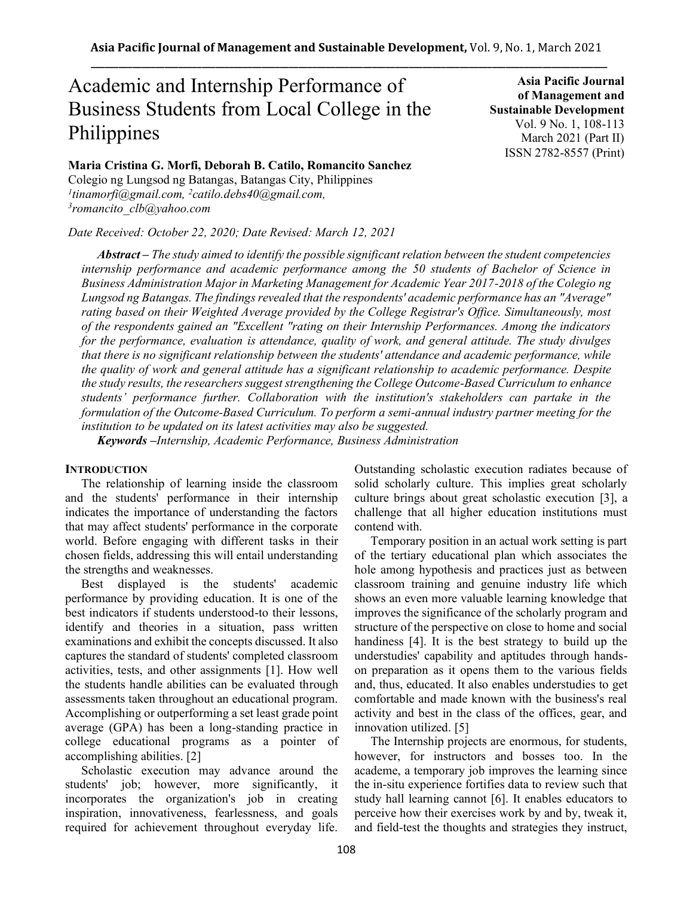# Academic and Internship Performance of Business Students from Local College in the Philippines

**Maria Cristina G. Morfi, Deborah B. Catilo, Romancito Sanchez**

Colegio ng Lungsod ng Batangas, Batangas City, Philippines *1 tinamorfi@gmail.com, <sup>2</sup>catilo.debs40@gmail.com, 3 romancito\_clb@yahoo.com*

*Date Received: October 22, 2020; Date Revised: March 12, 2021*

**Asia Pacific Journal of Management and Sustainable Development**  Vol. 9 No. 1, 108-113 March 2021 (Part II) ISSN 2782-8557 (Print)

*Abstract – The study aimed to identify the possible significant relation between the student competencies internship performance and academic performance among the 50 students of Bachelor of Science in Business Administration Major in Marketing Management for Academic Year 2017-2018 of the Colegio ng Lungsod ng Batangas. The findings revealed that the respondents' academic performance has an "Average" rating based on their Weighted Average provided by the College Registrar's Office. Simultaneously, most of the respondents gained an "Excellent "rating on their Internship Performances. Among the indicators for the performance, evaluation is attendance, quality of work, and general attitude. The study divulges that there is no significant relationship between the students' attendance and academic performance, while the quality of work and general attitude has a significant relationship to academic performance. Despite the study results, the researchers suggest strengthening the College Outcome-Based Curriculum to enhance students' performance further. Collaboration with the institution's stakeholders can partake in the formulation of the Outcome-Based Curriculum. To perform a semi-annual industry partner meeting for the institution to be updated on its latest activities may also be suggested.*

*Keywords –Internship, Academic Performance, Business Administration*

# **INTRODUCTION**

The relationship of learning inside the classroom and the students' performance in their internship indicates the importance of understanding the factors that may affect students' performance in the corporate world. Before engaging with different tasks in their chosen fields, addressing this will entail understanding the strengths and weaknesses.

Best displayed is the students' academic performance by providing education. It is one of the best indicators if students understood-to their lessons, identify and theories in a situation, pass written examinations and exhibit the concepts discussed. It also captures the standard of students' completed classroom activities, tests, and other assignments [1]. How well the students handle abilities can be evaluated through assessments taken throughout an educational program. Accomplishing or outperforming a set least grade point average (GPA) has been a long-standing practice in college educational programs as a pointer of accomplishing abilities. [2]

Scholastic execution may advance around the students' job; however, more significantly, it incorporates the organization's job in creating inspiration, innovativeness, fearlessness, and goals required for achievement throughout everyday life. Outstanding scholastic execution radiates because of solid scholarly culture. This implies great scholarly culture brings about great scholastic execution [3], a challenge that all higher education institutions must contend with.

Temporary position in an actual work setting is part of the tertiary educational plan which associates the hole among hypothesis and practices just as between classroom training and genuine industry life which shows an even more valuable learning knowledge that improves the significance of the scholarly program and structure of the perspective on close to home and social handiness [4]. It is the best strategy to build up the understudies' capability and aptitudes through handson preparation as it opens them to the various fields and, thus, educated. It also enables understudies to get comfortable and made known with the business's real activity and best in the class of the offices, gear, and innovation utilized. [5]

The Internship projects are enormous, for students, however, for instructors and bosses too. In the academe, a temporary job improves the learning since the in-situ experience fortifies data to review such that study hall learning cannot [6]. It enables educators to perceive how their exercises work by and by, tweak it, and field-test the thoughts and strategies they instruct,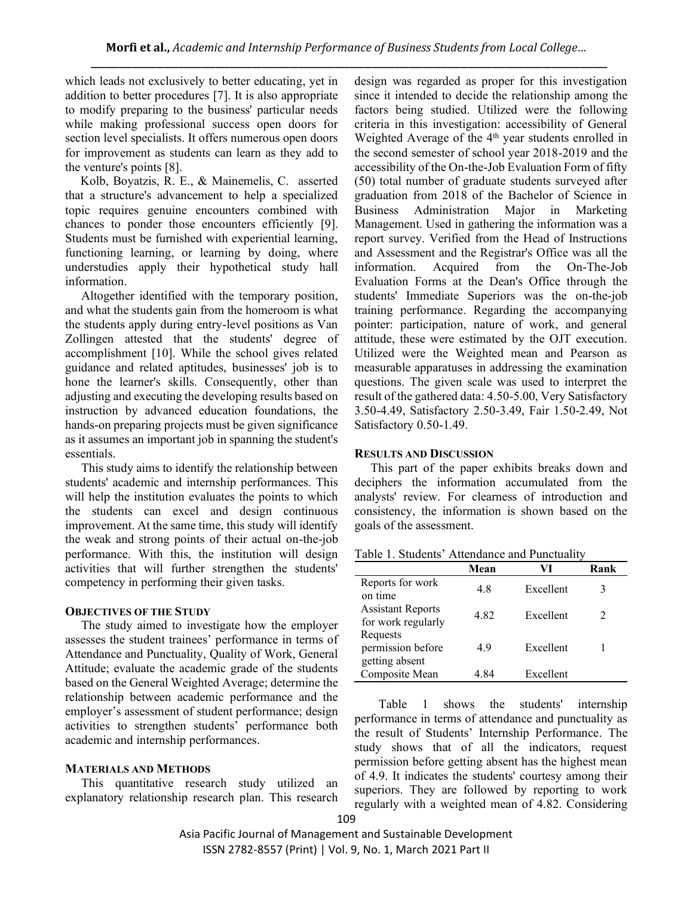which leads not exclusively to better educating, yet in addition to better procedures [7]. It is also appropriate to modify preparing to the business' particular needs while making professional success open doors for section level specialists. It offers numerous open doors for improvement as students can learn as they add to the venture's points [8].

Kolb, Boyatzis, R. E., & Mainemelis, C. asserted that a structure's advancement to help a specialized topic requires genuine encounters combined with chances to ponder those encounters efficiently [9]. Students must be furnished with experiential learning, functioning learning, or learning by doing, where understudies apply their hypothetical study hall information.

Altogether identified with the temporary position, and what the students gain from the homeroom is what the students apply during entry-level positions as Van Zollingen attested that the students' degree of accomplishment [10]. While the school gives related guidance and related aptitudes, businesses' job is to hone the learner's skills. Consequently, other than adjusting and executing the developing results based on instruction by advanced education foundations, the hands-on preparing projects must be given significance as it assumes an important job in spanning the student's essentials.

This study aims to identify the relationship between students' academic and internship performances. This will help the institution evaluates the points to which the students can excel and design continuous improvement. At the same time, this study will identify the weak and strong points of their actual on-the-job performance. With this, the institution will design activities that will further strengthen the students' competency in performing their given tasks.

## **OBJECTIVES OF THE STUDY**

The study aimed to investigate how the employer assesses the student trainees' performance in terms of Attendance and Punctuality, Quality of Work, General Attitude; evaluate the academic grade of the students based on the General Weighted Average; determine the relationship between academic performance and the employer's assessment of student performance; design activities to strengthen students' performance both academic and internship performances.

# **MATERIALS AND METHODS**

This quantitative research study utilized an explanatory relationship research plan. This research design was regarded as proper for this investigation since it intended to decide the relationship among the factors being studied. Utilized were the following criteria in this investigation: accessibility of General Weighted Average of the  $4<sup>th</sup>$  year students enrolled in the second semester of school year 2018-2019 and the accessibility of the On-the-Job Evaluation Form of fifty (50) total number of graduate students surveyed after graduation from 2018 of the Bachelor of Science in Business Administration Major in Marketing Management. Used in gathering the information was a report survey. Verified from the Head of Instructions and Assessment and the Registrar's Office was all the information. Acquired from the On-The-Job Evaluation Forms at the Dean's Office through the students' Immediate Superiors was the on-the-job training performance. Regarding the accompanying pointer: participation, nature of work, and general attitude, these were estimated by the OJT execution. Utilized were the Weighted mean and Pearson as measurable apparatuses in addressing the examination questions. The given scale was used to interpret the result of the gathered data: 4.50-5.00, Very Satisfactory 3.50-4.49, Satisfactory 2.50-3.49, Fair 1.50-2.49, Not Satisfactory 0.50-1.49.

#### **RESULTS AND DISCUSSION**

This part of the paper exhibits breaks down and deciphers the information accumulated from the analysts' review. For clearness of introduction and consistency, the information is shown based on the goals of the assessment.

|  |  | Table 1. Students' Attendance and Punctuality |  |  |  |
|--|--|-----------------------------------------------|--|--|--|
|--|--|-----------------------------------------------|--|--|--|

|                                                 | Mean | VI        | Rank |
|-------------------------------------------------|------|-----------|------|
| Reports for work<br>on time                     | 4.8  | Excellent |      |
| <b>Assistant Reports</b><br>for work regularly  | 482  | Excellent |      |
| Requests<br>permission before<br>getting absent | 49   | Excellent |      |
| Composite Mean                                  | 4 84 | Excellent |      |

Table 1 shows the students' internship performance in terms of attendance and punctuality as the result of Students' Internship Performance. The study shows that of all the indicators, request permission before getting absent has the highest mean of 4.9. It indicates the students' courtesy among their superiors. They are followed by reporting to work regularly with a weighted mean of 4.82. Considering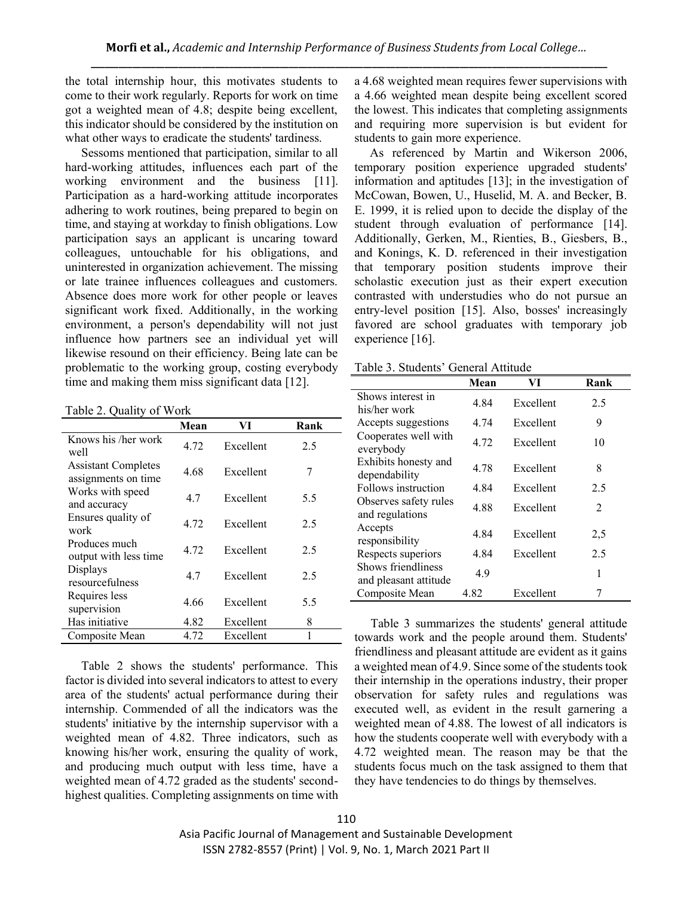the total internship hour, this motivates students to come to their work regularly. Reports for work on time got a weighted mean of 4.8; despite being excellent, this indicator should be considered by the institution on what other ways to eradicate the students' tardiness.

Sessoms mentioned that participation, similar to all hard-working attitudes, influences each part of the working environment and the business [11]. Participation as a hard-working attitude incorporates adhering to work routines, being prepared to begin on time, and staying at workday to finish obligations. Low participation says an applicant is uncaring toward colleagues, untouchable for his obligations, and uninterested in organization achievement. The missing or late trainee influences colleagues and customers. Absence does more work for other people or leaves significant work fixed. Additionally, in the working environment, a person's dependability will not just influence how partners see an individual yet will likewise resound on their efficiency. Being late can be problematic to the working group, costing everybody time and making them miss significant data [12].

Table 2. Quality of Work

|                                                    | Mean | VI        | Rank |
|----------------------------------------------------|------|-----------|------|
| Knows his /her work<br>well                        | 4.72 | Excellent | 2.5  |
| <b>Assistant Completes</b><br>assignments on time. | 4.68 | Excellent | 7    |
| Works with speed<br>and accuracy                   | 4.7  | Excellent | 5.5  |
| Ensures quality of<br>work                         | 4.72 | Excellent | 2.5  |
| Produces much<br>output with less time             | 4.72 | Excellent | 2.5  |
| Displays<br>resourcefulness                        | 4.7  | Excellent | 2.5  |
| Requires less<br>supervision                       | 4.66 | Excellent | 5.5  |
| Has initiative                                     | 4.82 | Excellent | 8    |
| Composite Mean                                     | 4.72 | Excellent | 1    |

Table 2 shows the students' performance. This factor is divided into several indicators to attest to every area of the students' actual performance during their internship. Commended of all the indicators was the students' initiative by the internship supervisor with a weighted mean of 4.82. Three indicators, such as knowing his/her work, ensuring the quality of work, and producing much output with less time, have a weighted mean of 4.72 graded as the students' secondhighest qualities. Completing assignments on time with a 4.68 weighted mean requires fewer supervisions with a 4.66 weighted mean despite being excellent scored the lowest. This indicates that completing assignments and requiring more supervision is but evident for students to gain more experience.

As referenced by Martin and Wikerson 2006, temporary position experience upgraded students' information and aptitudes [13]; in the investigation of McCowan, Bowen, U., Huselid, M. A. and Becker, B. E. 1999, it is relied upon to decide the display of the student through evaluation of performance [14]. Additionally, Gerken, M., Rienties, B., Giesbers, B., and Konings, K. D. referenced in their investigation that temporary position students improve their scholastic execution just as their expert execution contrasted with understudies who do not pursue an entry-level position [15]. Also, bosses' increasingly favored are school graduates with temporary job experience [16].

| Tuon J. Duuvino<br>OVIIVIUI TIUIUUV         |      |           |      |  |
|---------------------------------------------|------|-----------|------|--|
|                                             | Mean | VI        | Rank |  |
| Shows interest in<br>his/her work           | 4.84 | Excellent | 2.5  |  |
| Accepts suggestions                         | 4.74 | Excellent | 9    |  |
| Cooperates well with<br>everybody           | 4.72 | Excellent | 10   |  |
| Exhibits honesty and<br>dependability       | 4.78 | Excellent | 8    |  |
| Follows instruction                         | 4.84 | Excellent | 2.5  |  |
| Observes safety rules<br>and regulations    | 4.88 | Excellent | 2    |  |
| Accepts<br>responsibility                   | 4.84 | Excellent | 2,5  |  |
| Respects superiors                          | 4.84 | Excellent | 2.5  |  |
| Shows friendliness<br>and pleasant attitude | 4.9  |           | 1    |  |
| Composite Mean                              | 4.82 | Excellent |      |  |

Table 3. Students' General Attitude

Table 3 summarizes the students' general attitude towards work and the people around them. Students' friendliness and pleasant attitude are evident as it gains a weighted mean of 4.9. Since some of the students took their internship in the operations industry, their proper observation for safety rules and regulations was executed well, as evident in the result garnering a weighted mean of 4.88. The lowest of all indicators is how the students cooperate well with everybody with a 4.72 weighted mean. The reason may be that the students focus much on the task assigned to them that they have tendencies to do things by themselves.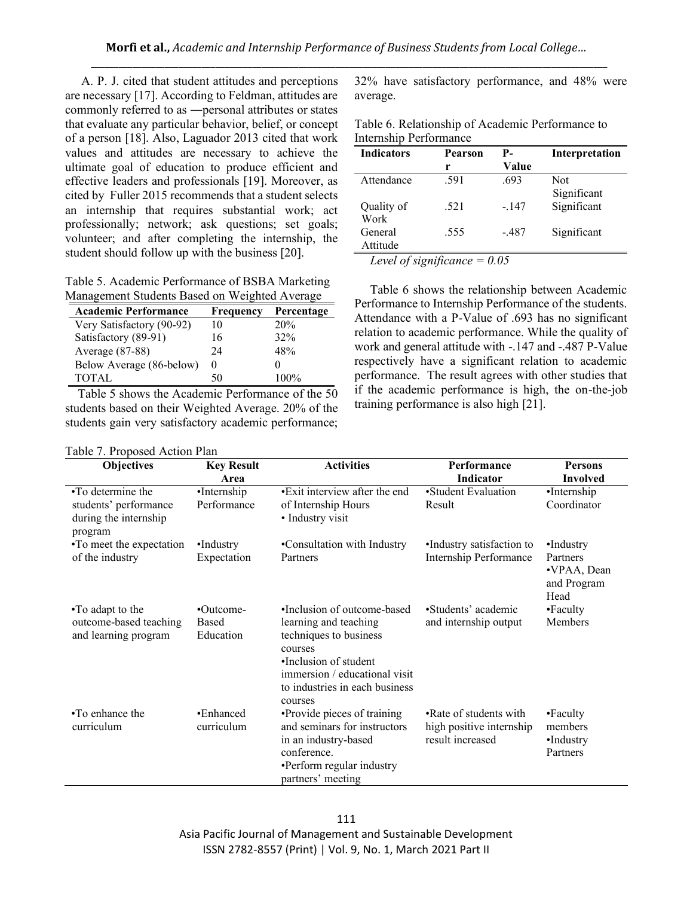A. P. J. cited that student attitudes and perceptions are necessary [17]. According to Feldman, attitudes are commonly referred to as ―personal attributes or states that evaluate any particular behavior, belief, or concept of a person [18]. Also, Laguador 2013 cited that work values and attitudes are necessary to achieve the ultimate goal of education to produce efficient and effective leaders and professionals [19]. Moreover, as cited by Fuller 2015 recommends that a student selects an internship that requires substantial work; act professionally; network; ask questions; set goals; volunteer; and after completing the internship, the student should follow up with the business [20].

Table 5. Academic Performance of BSBA Marketing Management Students Based on Weighted Average

| <b>Academic Performance</b> | <b>Frequency</b> | Percentage |
|-----------------------------|------------------|------------|
| Very Satisfactory (90-92)   | 10               | 20%        |
| Satisfactory (89-91)        | 16               | 32%        |
| Average (87-88)             | 24               | 48%        |
| Below Average (86-below)    |                  |            |
| <b>TOTAL</b>                | 50               | $100\%$    |

 Table 5 shows the Academic Performance of the 50 students based on their Weighted Average. 20% of the students gain very satisfactory academic performance;

Table 7. Proposed Action Plan

32% have satisfactory performance, and 48% were average.

| Table 6. Relationship of Academic Performance to |
|--------------------------------------------------|
| <b>Internship Performance</b>                    |

| <b>Indicators</b>           | Pearson | P-     | Interpretation |
|-----------------------------|---------|--------|----------------|
|                             | r       | Value  |                |
| Attendance                  | .591    | .693   | Not            |
|                             |         |        | Significant    |
| Quality of                  | .521    | $-147$ | Significant    |
| Work                        |         |        |                |
| General                     | .555    | - 487  | Significant    |
| Attitude                    |         |        |                |
| $\sim$ $\sim$ $\sim$ $\sim$ |         |        |                |

*Level of significance = 0.05*

 Table 6 shows the relationship between Academic Performance to Internship Performance of the students. Attendance with a P-Value of .693 has no significant relation to academic performance. While the quality of work and general attitude with -.147 and -.487 P-Value respectively have a significant relation to academic performance. The result agrees with other studies that if the academic performance is high, the on-the-job training performance is also high [21].

| <b>Objectives</b>                                         | <b>Key Result</b>       | <b>Activities</b>                                                                                  | Performance                                                            | <b>Persons</b>                                      |
|-----------------------------------------------------------|-------------------------|----------------------------------------------------------------------------------------------------|------------------------------------------------------------------------|-----------------------------------------------------|
|                                                           | Area                    |                                                                                                    | Indicator                                                              | <b>Involved</b>                                     |
| •To determine the                                         | •Internship             | • Exit interview after the end                                                                     | •Student Evaluation                                                    | •Internship                                         |
| students' performance<br>during the internship<br>program | Performance             | of Internship Hours<br>• Industry visit                                                            | Result                                                                 | Coordinator                                         |
| •To meet the expectation                                  | •Industry               | •Consultation with Industry                                                                        | •Industry satisfaction to                                              | •Industry                                           |
| of the industry                                           | Expectation             | Partners                                                                                           | Internship Performance                                                 | Partners<br>•VPAA, Dean<br>and Program<br>Head      |
| •To adapt to the                                          | $\cdot$ Outcome-        | •Inclusion of outcome-based                                                                        | •Students' academic                                                    | •Faculty                                            |
| outcome-based teaching<br>and learning program            | Based<br>Education      | learning and teaching<br>techniques to business<br>courses<br>•Inclusion of student                | and internship output                                                  | Members                                             |
|                                                           |                         | immersion / educational visit<br>to industries in each business<br>courses                         |                                                                        |                                                     |
| $\cdot$ To enhance the<br>curriculum                      | •Enhanced<br>curriculum | •Provide pieces of training<br>and seminars for instructors<br>in an industry-based<br>conference. | •Rate of students with<br>high positive internship<br>result increased | $\cdot$ Faculty<br>members<br>•Industry<br>Partners |
|                                                           |                         | •Perform regular industry<br>partners' meeting                                                     |                                                                        |                                                     |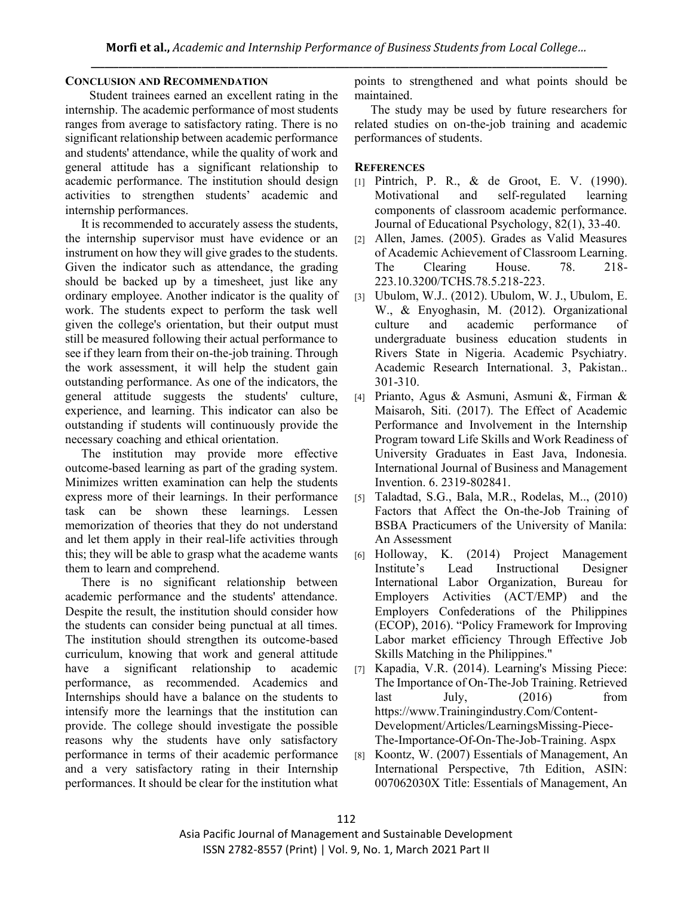## **CONCLUSION AND RECOMMENDATION**

Student trainees earned an excellent rating in the internship. The academic performance of most students ranges from average to satisfactory rating. There is no significant relationship between academic performance and students' attendance, while the quality of work and general attitude has a significant relationship to academic performance. The institution should design activities to strengthen students' academic and internship performances.

It is recommended to accurately assess the students, the internship supervisor must have evidence or an instrument on how they will give grades to the students. Given the indicator such as attendance, the grading should be backed up by a timesheet, just like any ordinary employee. Another indicator is the quality of work. The students expect to perform the task well given the college's orientation, but their output must still be measured following their actual performance to see if they learn from their on-the-job training. Through the work assessment, it will help the student gain outstanding performance. As one of the indicators, the general attitude suggests the students' culture, experience, and learning. This indicator can also be outstanding if students will continuously provide the necessary coaching and ethical orientation.

The institution may provide more effective outcome-based learning as part of the grading system. Minimizes written examination can help the students express more of their learnings. In their performance task can be shown these learnings. Lessen memorization of theories that they do not understand and let them apply in their real-life activities through this; they will be able to grasp what the academe wants them to learn and comprehend.

There is no significant relationship between academic performance and the students' attendance. Despite the result, the institution should consider how the students can consider being punctual at all times. The institution should strengthen its outcome-based curriculum, knowing that work and general attitude have a significant relationship to academic performance, as recommended. Academics and Internships should have a balance on the students to intensify more the learnings that the institution can provide. The college should investigate the possible reasons why the students have only satisfactory performance in terms of their academic performance and a very satisfactory rating in their Internship performances. It should be clear for the institution what points to strengthened and what points should be maintained.

The study may be used by future researchers for related studies on on-the-job training and academic performances of students.

# **REFERENCES**

- [1] Pintrich, P. R., & de Groot, E. V. (1990). Motivational and self-regulated learning components of classroom academic performance. Journal of Educational Psychology, 82(1), 33-40.
- [2] Allen, James. (2005). Grades as Valid Measures of Academic Achievement of Classroom Learning. The Clearing House. 78. 218-223.10.3200/TCHS.78.5.218-223.
- [3] Ubulom, W.J.. (2012). Ubulom, W. J., Ubulom, E. W., & Enyoghasin, M. (2012). Organizational culture and academic performance of undergraduate business education students in Rivers State in Nigeria. Academic Psychiatry. Academic Research International. 3, Pakistan.. 301-310.
- [4] Prianto, Agus & Asmuni, Asmuni &, Firman & Maisaroh, Siti. (2017). The Effect of Academic Performance and Involvement in the Internship Program toward Life Skills and Work Readiness of University Graduates in East Java, Indonesia. International Journal of Business and Management Invention. 6. 2319-802841.
- [5] Taladtad, S.G., Bala, M.R., Rodelas, M.., (2010) Factors that Affect the On-the-Job Training of BSBA Practicumers of the University of Manila: An Assessment
- [6] Holloway, K. (2014) Project Management Institute's Lead Instructional Designer International Labor Organization, Bureau for Employers Activities (ACT/EMP) and the Employers Confederations of the Philippines (ECOP), 2016). "Policy Framework for Improving Labor market efficiency Through Effective Job Skills Matching in the Philippines."
- [7] Kapadia, V.R. (2014). Learning's Missing Piece: The Importance of On-The-Job Training. Retrieved  $last$  July,  $(2016)$  from https://www.Trainingindustry.Com/Content-Development/Articles/LearningsMissing-Piece-The-Importance-Of-On-The-Job-Training. Aspx
- [8] Koontz, W. (2007) Essentials of Management, An International Perspective, 7th Edition, ASIN: 007062030X Title: Essentials of Management, An